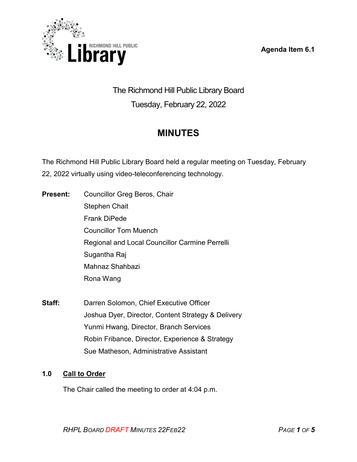



The Richmond Hill Public Library Board Tuesday, February 22, 2022

# **MINUTES**

The Richmond Hill Public Library Board held a regular meeting on Tuesday, February 22, 2022 virtually using video-teleconferencing technology.

- **Present:** Councillor Greg Beros, Chair Stephen Chait Frank DiPede Councillor Tom Muench Regional and Local Councillor Carmine Perrelli Sugantha Raj Mahnaz Shahbazi Rona Wang
- **Staff:** Darren Solomon, Chief Executive Officer Joshua Dyer, Director, Content Strategy & Delivery Yunmi Hwang, Director, Branch Services Robin Fribance, Director, Experience & Strategy Sue Matheson, Administrative Assistant

# **1.0 Call to Order**

The Chair called the meeting to order at 4:04 p.m.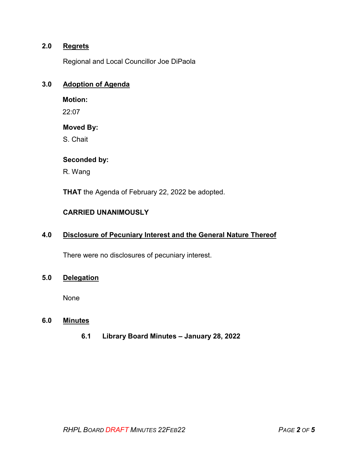# **2.0 Regrets**

Regional and Local Councillor Joe DiPaola

# **3.0 Adoption of Agenda**

**Motion:** 

22:07

## **Moved By:**

S. Chait

## **Seconded by:**

R. Wang

**THAT** the Agenda of February 22, 2022 be adopted.

# **CARRIED UNANIMOUSLY**

## **4.0 Disclosure of Pecuniary Interest and the General Nature Thereof**

There were no disclosures of pecuniary interest.

# **5.0 Delegation**

None

## **6.0 Minutes**

**6.1 Library Board Minutes – January 28, 2022**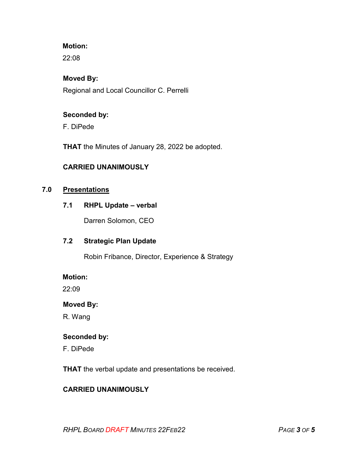# **Motion:**

22:08

# **Moved By:**

Regional and Local Councillor C. Perrelli

## **Seconded by:**

F. DiPede

**THAT** the Minutes of January 28, 2022 be adopted.

# **CARRIED UNANIMOUSLY**

## **7.0 Presentations**

#### **7.1 RHPL Update – verbal**

Darren Solomon, CEO

# **7.2 Strategic Plan Update**

Robin Fribance, Director, Experience & Strategy

#### **Motion:**

22:09

#### **Moved By:**

R. Wang

## **Seconded by:**

F. DiPede

**THAT** the verbal update and presentations be received.

# **CARRIED UNANIMOUSLY**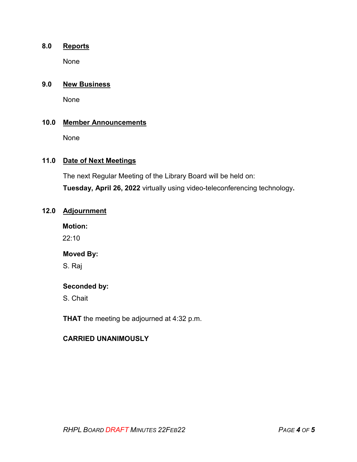# **8.0 Reports**

None

## **9.0 New Business**

None

#### **10.0 Member Announcements**

None

## **11.0 Date of Next Meetings**

The next Regular Meeting of the Library Board will be held on:

**Tuesday, April 26, 2022** virtually using video-teleconferencing technology**.** 

# **12.0 Adjournment**

**Motion:** 

22:10

## **Moved By:**

S. Raj

# **Seconded by:**

S. Chait

**THAT** the meeting be adjourned at 4:32 p.m.

### **CARRIED UNANIMOUSLY**